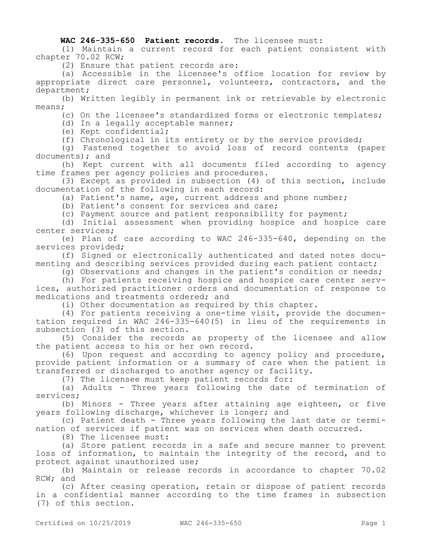## **WAC 246-335-650 Patient records.** The licensee must:

(1) Maintain a current record for each patient consistent with chapter 70.02 RCW;

(2) Ensure that patient records are:

(a) Accessible in the licensee's office location for review by appropriate direct care personnel, volunteers, contractors, and the department;

(b) Written legibly in permanent ink or retrievable by electronic means;

(c) On the licensee's standardized forms or electronic templates;

(d) In a legally acceptable manner;

(e) Kept confidential;

(f) Chronological in its entirety or by the service provided;

(g) Fastened together to avoid loss of record contents (paper documents); and

(h) Kept current with all documents filed according to agency time frames per agency policies and procedures.

(3) Except as provided in subsection (4) of this section, include documentation of the following in each record:

(a) Patient's name, age, current address and phone number;

(b) Patient's consent for services and care;

(c) Payment source and patient responsibility for payment;

(d) Initial assessment when providing hospice and hospice care center services;

(e) Plan of care according to WAC 246-335-640, depending on the services provided;

(f) Signed or electronically authenticated and dated notes documenting and describing services provided during each patient contact;

(g) Observations and changes in the patient's condition or needs;

(h) For patients receiving hospice and hospice care center services, authorized practitioner orders and documentation of response to medications and treatments ordered; and

(i) Other documentation as required by this chapter.

(4) For patients receiving a one-time visit, provide the documentation required in WAC 246-335-640(5) in lieu of the requirements in subsection (3) of this section.

(5) Consider the records as property of the licensee and allow the patient access to his or her own record.

(6) Upon request and according to agency policy and procedure, provide patient information or a summary of care when the patient is transferred or discharged to another agency or facility.

(7) The licensee must keep patient records for:

(a) Adults - Three years following the date of termination of services;

(b) Minors - Three years after attaining age eighteen, or five years following discharge, whichever is longer; and

(c) Patient death - Three years following the last date or termination of services if patient was on services when death occurred.

(8) The licensee must:

(a) Store patient records in a safe and secure manner to prevent loss of information, to maintain the integrity of the record, and to protect against unauthorized use;

(b) Maintain or release records in accordance to chapter 70.02 RCW; and

(c) After ceasing operation, retain or dispose of patient records in a confidential manner according to the time frames in subsection (7) of this section.